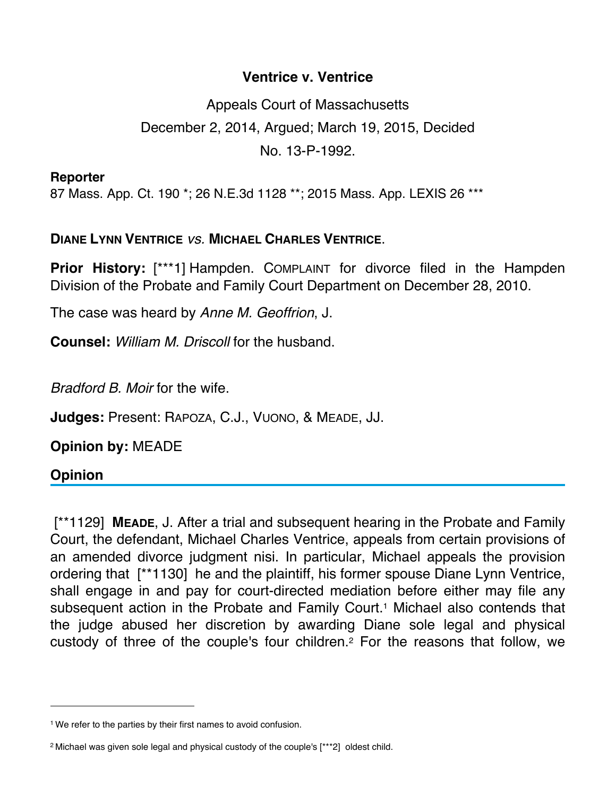## **Ventrice v. Ventrice**

Appeals Court of Massachusetts December 2, 2014, Argued; March 19, 2015, Decided No. 13-P-1992.

**Reporter**

87 Mass. App. Ct. 190 \*; 26 N.E.3d 1128 \*\*; 2015 Mass. App. LEXIS 26 \*\*\*

## **DIANE LYNN VENTRICE** *vs.* **MICHAEL CHARLES VENTRICE**.

**Prior History:** [\*\*\*1] Hampden. COMPLAINT for divorce filed in the Hampden Division of the Probate and Family Court Department on December 28, 2010.

The case was heard by *Anne M. Geoffrion*, J.

**Counsel:** *William M. Driscoll* for the husband.

*Bradford B. Moir* for the wife.

**Judges:** Present: RAPOZA, C.J., VUONO, & MEADE, JJ.

**Opinion by:** MEADE

## **Opinion**

 [\*\*1129] **MEADE**, J. After a trial and subsequent hearing in the Probate and Family Court, the defendant, Michael Charles Ventrice, appeals from certain provisions of an amended divorce judgment nisi. In particular, Michael appeals the provision ordering that [\*\*1130] he and the plaintiff, his former spouse Diane Lynn Ventrice, shall engage in and pay for court-directed mediation before either may file any subsequent action in the Probate and Family Court.<sup>1</sup> Michael also contends that the judge abused her discretion by awarding Diane sole legal and physical custody of three of the couple's four children.2 For the reasons that follow, we

<sup>&</sup>lt;sup>1</sup> We refer to the parties by their first names to avoid confusion.

<sup>2</sup> Michael was given sole legal and physical custody of the couple's [\*\*\*2] oldest child.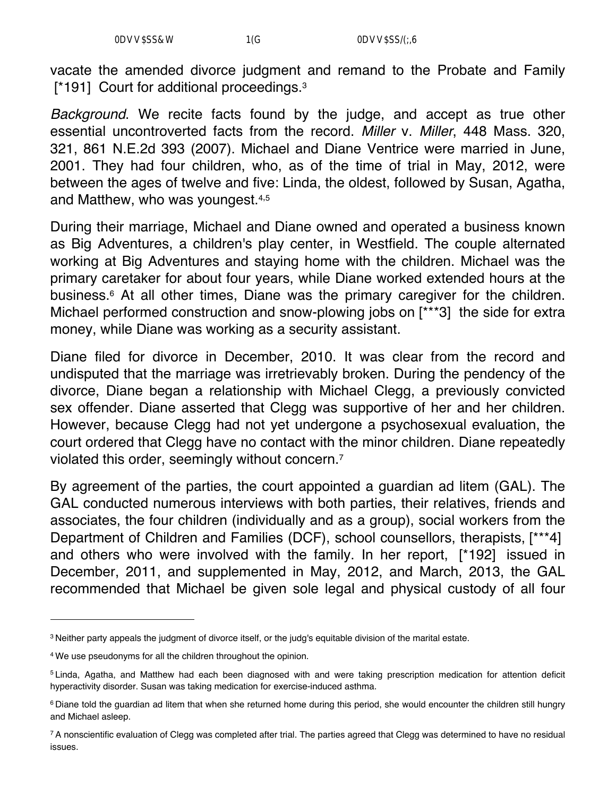vacate the amended divorce judgment and remand to the Probate and Family [\*191] Court for additional proceedings.<sup>3</sup>

*Background*. We recite facts found by the judge, and accept as true other essential uncontroverted facts from the record. *Miller* v. *Miller*, 448 Mass. 320, 321, 861 N.E.2d 393 (2007). Michael and Diane Ventrice were married in June, 2001. They had four children, who, as of the time of trial in May, 2012, were between the ages of twelve and five: Linda, the oldest, followed by Susan, Agatha, and Matthew, who was youngest.4,5

During their marriage, Michael and Diane owned and operated a business known as Big Adventures, a children's play center, in Westfield. The couple alternated working at Big Adventures and staying home with the children. Michael was the primary caretaker for about four years, while Diane worked extended hours at the business.6 At all other times, Diane was the primary caregiver for the children. Michael performed construction and snow-plowing jobs on [\*\*\*3] the side for extra money, while Diane was working as a security assistant.

Diane filed for divorce in December, 2010. It was clear from the record and undisputed that the marriage was irretrievably broken. During the pendency of the divorce, Diane began a relationship with Michael Clegg, a previously convicted sex offender. Diane asserted that Clegg was supportive of her and her children. However, because Clegg had not yet undergone a psychosexual evaluation, the court ordered that Clegg have no contact with the minor children. Diane repeatedly violated this order, seemingly without concern.7

By agreement of the parties, the court appointed a guardian ad litem (GAL). The GAL conducted numerous interviews with both parties, their relatives, friends and associates, the four children (individually and as a group), social workers from the Department of Children and Families (DCF), school counsellors, therapists, [\*\*\*4] and others who were involved with the family. In her report, [\*192] issued in December, 2011, and supplemented in May, 2012, and March, 2013, the GAL recommended that Michael be given sole legal and physical custody of all four

<sup>3</sup> Neither party appeals the judgment of divorce itself, or the judg's equitable division of the marital estate.

<sup>4</sup> We use pseudonyms for all the children throughout the opinion.

<sup>5</sup> Linda, Agatha, and Matthew had each been diagnosed with and were taking prescription medication for attention deficit hyperactivity disorder. Susan was taking medication for exercise-induced asthma.

<sup>&</sup>lt;sup>6</sup> Diane told the guardian ad litem that when she returned home during this period, she would encounter the children still hungry and Michael asleep.

<sup>&</sup>lt;sup>7</sup> A nonscientific evaluation of Clegg was completed after trial. The parties agreed that Clegg was determined to have no residual issues.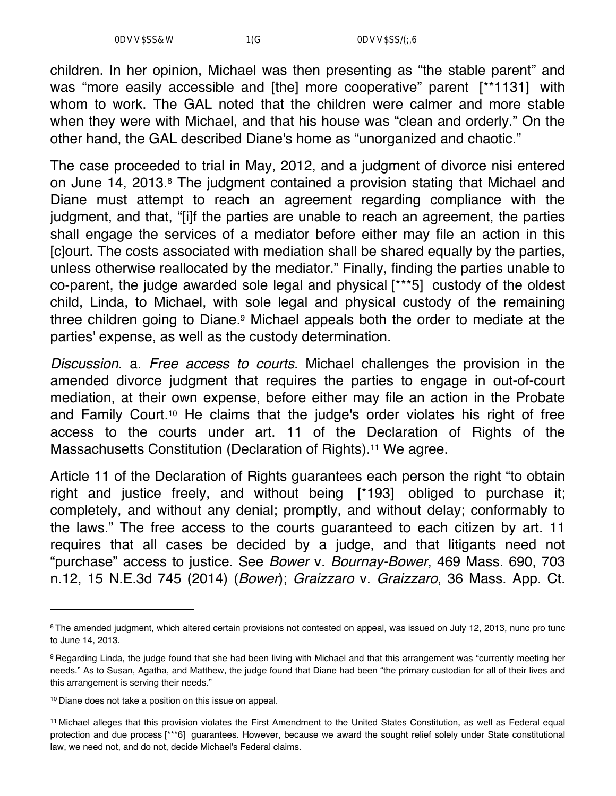children. In her opinion, Michael was then presenting as "the stable parent" and was "more easily accessible and [the] more cooperative" parent [\*\*1131] with whom to work. The GAL noted that the children were calmer and more stable when they were with Michael, and that his house was "clean and orderly." On the other hand, the GAL described Diane's home as "unorganized and chaotic."

The case proceeded to trial in May, 2012, and a judgment of divorce nisi entered on June 14, 2013.8 The judgment contained a provision stating that Michael and Diane must attempt to reach an agreement regarding compliance with the judgment, and that, "[i]f the parties are unable to reach an agreement, the parties shall engage the services of a mediator before either may file an action in this [c]ourt. The costs associated with mediation shall be shared equally by the parties, unless otherwise reallocated by the mediator." Finally, finding the parties unable to co-parent, the judge awarded sole legal and physical [\*\*\*5] custody of the oldest child, Linda, to Michael, with sole legal and physical custody of the remaining three children going to Diane.9 Michael appeals both the order to mediate at the parties' expense, as well as the custody determination.

*Discussion*. a. *Free access to courts*. Michael challenges the provision in the amended divorce judgment that requires the parties to engage in out-of-court mediation, at their own expense, before either may file an action in the Probate and Family Court.<sup>10</sup> He claims that the judge's order violates his right of free access to the courts under art. 11 of the Declaration of Rights of the Massachusetts Constitution (Declaration of Rights).11 We agree.

Article 11 of the Declaration of Rights guarantees each person the right "to obtain right and justice freely, and without being [\*193] obliged to purchase it; completely, and without any denial; promptly, and without delay; conformably to the laws." The free access to the courts guaranteed to each citizen by art. 11 requires that all cases be decided by a judge, and that litigants need not "purchase" access to justice. See *Bower* v. *Bournay-Bower*, 469 Mass. 690, 703 n.12, 15 N.E.3d 745 (2014) (*Bower*); *Graizzaro* v. *Graizzaro*, 36 Mass. App. Ct.

<sup>&</sup>lt;sup>8</sup> The amended judgment, which altered certain provisions not contested on appeal, was issued on July 12, 2013, nunc pro tunc to June 14, 2013.

<sup>9</sup> Regarding Linda, the judge found that she had been living with Michael and that this arrangement was "currently meeting her needs." As to Susan, Agatha, and Matthew, the judge found that Diane had been "the primary custodian for all of their lives and this arrangement is serving their needs."

<sup>10</sup> Diane does not take a position on this issue on appeal.

<sup>11</sup> Michael alleges that this provision violates the First Amendment to the United States Constitution, as well as Federal equal protection and due process [\*\*\*6] guarantees. However, because we award the sought relief solely under State constitutional law, we need not, and do not, decide Michael's Federal claims.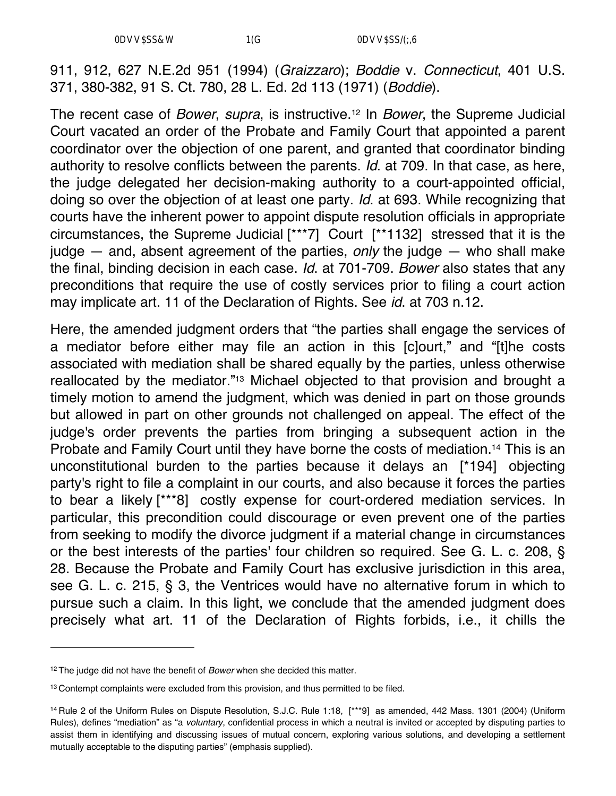911, 912, 627 N.E.2d 951 (1994) (*Graizzaro*); *Boddie* v. *Connecticut*, 401 U.S. 371, 380-382, 91 S. Ct. 780, 28 L. Ed. 2d 113 (1971) (*Boddie*).

The recent case of *Bower*, *supra*, is instructive.12 In *Bower*, the Supreme Judicial Court vacated an order of the Probate and Family Court that appointed a parent coordinator over the objection of one parent, and granted that coordinator binding authority to resolve conflicts between the parents. *Id*. at 709. In that case, as here, the judge delegated her decision-making authority to a court-appointed official, doing so over the objection of at least one party. *Id*. at 693. While recognizing that courts have the inherent power to appoint dispute resolution officials in appropriate circumstances, the Supreme Judicial [\*\*\*7] Court [\*\*1132] stressed that it is the judge — and, absent agreement of the parties, *only* the judge — who shall make the final, binding decision in each case. *Id*. at 701-709. *Bower* also states that any preconditions that require the use of costly services prior to filing a court action may implicate art. 11 of the Declaration of Rights. See *id*. at 703 n.12.

Here, the amended judgment orders that "the parties shall engage the services of a mediator before either may file an action in this [c]ourt," and "[t]he costs associated with mediation shall be shared equally by the parties, unless otherwise reallocated by the mediator."13 Michael objected to that provision and brought a timely motion to amend the judgment, which was denied in part on those grounds but allowed in part on other grounds not challenged on appeal. The effect of the judge's order prevents the parties from bringing a subsequent action in the Probate and Family Court until they have borne the costs of mediation.<sup>14</sup> This is an unconstitutional burden to the parties because it delays an [\*194] objecting party's right to file a complaint in our courts, and also because it forces the parties to bear a likely [\*\*\*8] costly expense for court-ordered mediation services. In particular, this precondition could discourage or even prevent one of the parties from seeking to modify the divorce judgment if a material change in circumstances or the best interests of the parties' four children so required. See G. L. c. 208, § 28. Because the Probate and Family Court has exclusive jurisdiction in this area, see G. L. c. 215, § 3, the Ventrices would have no alternative forum in which to pursue such a claim. In this light, we conclude that the amended judgment does precisely what art. 11 of the Declaration of Rights forbids, i.e., it chills the

<sup>12</sup> The judge did not have the benefit of *Bower* when she decided this matter.

<sup>&</sup>lt;sup>13</sup> Contempt complaints were excluded from this provision, and thus permitted to be filed.

<sup>14</sup> Rule 2 of the Uniform Rules on Dispute Resolution, S.J.C. Rule 1:18, [\*\*\*9] as amended, 442 Mass. 1301 (2004) (Uniform Rules), defines "mediation" as "a *voluntary*, confidential process in which a neutral is invited or accepted by disputing parties to assist them in identifying and discussing issues of mutual concern, exploring various solutions, and developing a settlement mutually acceptable to the disputing parties" (emphasis supplied).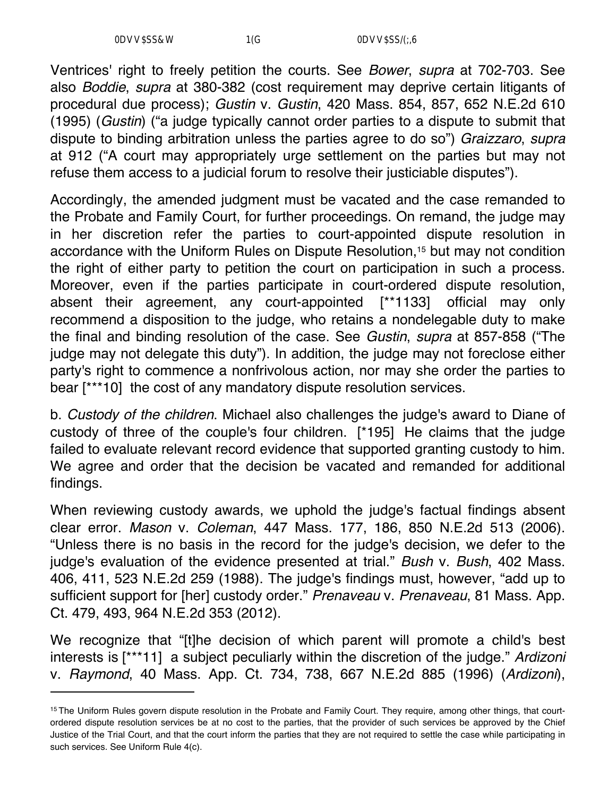Ventrices' right to freely petition the courts. See *Bower*, *supra* at 702-703. See also *Boddie*, *supra* at 380-382 (cost requirement may deprive certain litigants of procedural due process); *Gustin* v. *Gustin*, 420 Mass. 854, 857, 652 N.E.2d 610 (1995) (*Gustin*) ("a judge typically cannot order parties to a dispute to submit that dispute to binding arbitration unless the parties agree to do so") *Graizzaro*, *supra* at 912 ("A court may appropriately urge settlement on the parties but may not refuse them access to a judicial forum to resolve their justiciable disputes").

Accordingly, the amended judgment must be vacated and the case remanded to the Probate and Family Court, for further proceedings. On remand, the judge may in her discretion refer the parties to court-appointed dispute resolution in accordance with the Uniform Rules on Dispute Resolution,<sup>15</sup> but may not condition the right of either party to petition the court on participation in such a process. Moreover, even if the parties participate in court-ordered dispute resolution, absent their agreement, any court-appointed [\*\*1133] official may only recommend a disposition to the judge, who retains a nondelegable duty to make the final and binding resolution of the case. See *Gustin*, *supra* at 857-858 ("The judge may not delegate this duty"). In addition, the judge may not foreclose either party's right to commence a nonfrivolous action, nor may she order the parties to bear [\*\*\*10] the cost of any mandatory dispute resolution services.

b. *Custody of the children*. Michael also challenges the judge's award to Diane of custody of three of the couple's four children. [\*195] He claims that the judge failed to evaluate relevant record evidence that supported granting custody to him. We agree and order that the decision be vacated and remanded for additional findings.

When reviewing custody awards, we uphold the judge's factual findings absent clear error. *Mason* v. *Coleman*, 447 Mass. 177, 186, 850 N.E.2d 513 (2006). "Unless there is no basis in the record for the judge's decision, we defer to the judge's evaluation of the evidence presented at trial." *Bush* v. *Bush*, 402 Mass. 406, 411, 523 N.E.2d 259 (1988). The judge's findings must, however, "add up to sufficient support for [her] custody order." *Prenaveau* v. *Prenaveau*, 81 Mass. App. Ct. 479, 493, 964 N.E.2d 353 (2012).

We recognize that "[t]he decision of which parent will promote a child's best interests is [\*\*\*11] a subject peculiarly within the discretion of the judge." *Ardizoni* v. *Raymond*, 40 Mass. App. Ct. 734, 738, 667 N.E.2d 885 (1996) (*Ardizoni*),

<sup>&</sup>lt;sup>15</sup> The Uniform Rules govern dispute resolution in the Probate and Family Court. They require, among other things, that courtordered dispute resolution services be at no cost to the parties, that the provider of such services be approved by the Chief Justice of the Trial Court, and that the court inform the parties that they are not required to settle the case while participating in such services. See Uniform Rule 4(c).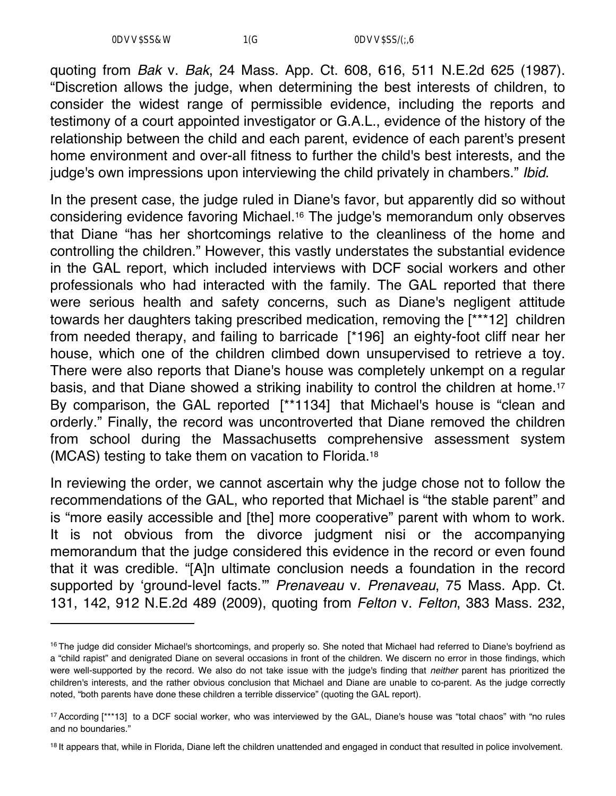quoting from *Bak* v. *Bak*, 24 Mass. App. Ct. 608, 616, 511 N.E.2d 625 (1987). "Discretion allows the judge, when determining the best interests of children, to consider the widest range of permissible evidence, including the reports and testimony of a court appointed investigator or G.A.L., evidence of the history of the relationship between the child and each parent, evidence of each parent's present home environment and over-all fitness to further the child's best interests, and the judge's own impressions upon interviewing the child privately in chambers." *Ibid*.

In the present case, the judge ruled in Diane's favor, but apparently did so without considering evidence favoring Michael.16 The judge's memorandum only observes that Diane "has her shortcomings relative to the cleanliness of the home and controlling the children." However, this vastly understates the substantial evidence in the GAL report, which included interviews with DCF social workers and other professionals who had interacted with the family. The GAL reported that there were serious health and safety concerns, such as Diane's negligent attitude towards her daughters taking prescribed medication, removing the [\*\*\*12] children from needed therapy, and failing to barricade [\*196] an eighty-foot cliff near her house, which one of the children climbed down unsupervised to retrieve a toy. There were also reports that Diane's house was completely unkempt on a regular basis, and that Diane showed a striking inability to control the children at home.17 By comparison, the GAL reported [\*\*1134] that Michael's house is "clean and orderly." Finally, the record was uncontroverted that Diane removed the children from school during the Massachusetts comprehensive assessment system (MCAS) testing to take them on vacation to Florida.18

In reviewing the order, we cannot ascertain why the judge chose not to follow the recommendations of the GAL, who reported that Michael is "the stable parent" and is "more easily accessible and [the] more cooperative" parent with whom to work. It is not obvious from the divorce judgment nisi or the accompanying memorandum that the judge considered this evidence in the record or even found that it was credible. "[A]n ultimate conclusion needs a foundation in the record supported by 'ground-level facts.'" *Prenaveau* v. *Prenaveau*, 75 Mass. App. Ct. 131, 142, 912 N.E.2d 489 (2009), quoting from *Felton* v. *Felton*, 383 Mass. 232,

<sup>&</sup>lt;sup>16</sup> The judge did consider Michael's shortcomings, and properly so. She noted that Michael had referred to Diane's boyfriend as a "child rapist" and denigrated Diane on several occasions in front of the children. We discern no error in those findings, which were well-supported by the record. We also do not take issue with the judge's finding that *neither* parent has prioritized the children's interests, and the rather obvious conclusion that Michael and Diane are unable to co-parent. As the judge correctly noted, "both parents have done these children a terrible disservice" (quoting the GAL report).

<sup>17</sup> According [\*\*\*13] to a DCF social worker, who was interviewed by the GAL, Diane's house was "total chaos" with "no rules and no boundaries."

<sup>&</sup>lt;sup>18</sup> It appears that, while in Florida, Diane left the children unattended and engaged in conduct that resulted in police involvement.